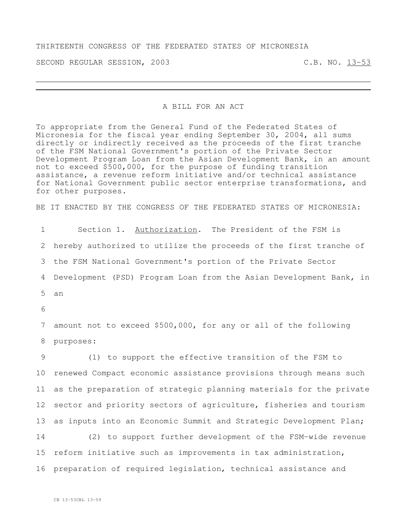## THIRTEENTH CONGRESS OF THE FEDERATED STATES OF MICRONESIA

SECOND REGULAR SESSION, 2003 C.B. NO. 13-53

## A BILL FOR AN ACT

To appropriate from the General Fund of the Federated States of Micronesia for the fiscal year ending September 30, 2004, all sums directly or indirectly received as the proceeds of the first tranche of the FSM National Government's portion of the Private Sector Development Program Loan from the Asian Development Bank, in an amount not to exceed \$500,000, for the purpose of funding transition assistance, a revenue reform initiative and/or technical assistance for National Government public sector enterprise transformations, and for other purposes.

BE IT ENACTED BY THE CONGRESS OF THE FEDERATED STATES OF MICRONESIA:

 Section 1. Authorization. The President of the FSM is hereby authorized to utilize the proceeds of the first tranche of the FSM National Government's portion of the Private Sector Development (PSD) Program Loan from the Asian Development Bank, in 5 an 6

7 amount not to exceed \$500,000, for any or all of the following 8 purposes:

 (1) to support the effective transition of the FSM to renewed Compact economic assistance provisions through means such as the preparation of strategic planning materials for the private 12 sector and priority sectors of agriculture, fisheries and tourism 13 as inputs into an Economic Summit and Strategic Development Plan; (2) to support further development of the FSM-wide revenue reform initiative such as improvements in tax administration, preparation of required legislation, technical assistance and